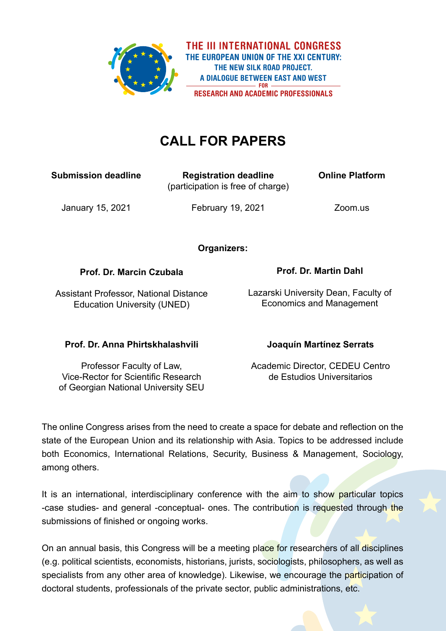

THE III INTERNATIONAL CONGRESS **THE EUROPEAN UNION OF THE XXI CENTURY: THE NEW SILK ROAD PROJECT. A DIALOGUE BETWEEN EAST AND WEST FOR RESEARCH AND ACADEMIC PROFESSIONALS**

## **CALL FOR PAPERS**

**Submission deadline Registration deadline**  (participation is free of charge)

January 15, 2021

February 19, 2021

Zoom.us

**Online Platform**

## **Organizers:**

**Prof. Dr. Marcin Czubala**

Assistant Professor, National Distance

Education University (UNED)

**Prof. Dr. Martin Dahl**

Lazarski University Dean, Faculty of Economics and Management

**Prof. Dr. Anna Phirtskhalashvili**

Professor Faculty of Law, Vice-Rector for Scientific Research of Georgian National University SEU **Joaquín Martínez Serrats**

Academic Director, CEDEU Centro de Estudios Universitarios

The online Congress arises from the need to create a space for debate and reflection on the state of the European Union and its relationship with Asia. Topics to be addressed include both Economics, International Relations, Security, Business & Management, Sociology, among others.

It is an international, interdisciplinary conference with the aim to show particular topics -case studies- and general -conceptual- ones. The contribution is requested through the submissions of finished or ongoing works.

On an annual basis, this Congress will be a meeting place for researchers of all disciplines (e.g. political scientists, economists, historians, jurists, sociologists, philosophers, as well as specialists from any other area of knowledge). Likewise, we encourage the participation of doctoral students, professionals of the private sector, public administrations, etc.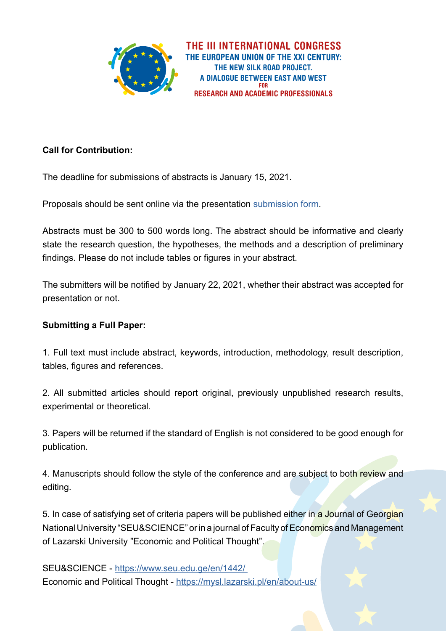

## **Call for Contribution:**

The deadline for submissions of abstracts is January 15, 2021.

Proposals should be sent online via the presentation [submission form.](https://docs.google.com/forms/d/e/1FAIpQLScoY5j6CWmplpdO2bldIi8h_bsLzR_NB2LqWl2zlP7sksPZhQ/viewform)

Abstracts must be 300 to 500 words long. The abstract should be informative and clearly state the research question, the hypotheses, the methods and a description of preliminary findings. Please do not include tables or figures in your abstract.

The submitters will be notified by January 22, 2021, whether their abstract was accepted for presentation or not.

## **Submitting a Full Paper:**

1. Full text must include abstract, keywords, introduction, methodology, result description, tables, figures and references.

2. All submitted articles should report original, previously unpublished research results, experimental or theoretical.

3. Papers will be returned if the standard of English is not considered to be good enough for publication.

4. Manuscripts should follow the style of the conference and are subject to both review and editing.

5. In case of satisfying set of criteria papers will be published either in a Journal of Georgian National University "SEU&SCIENCE" or in a journal of Faculty of Economics and Management of Lazarski University "Economic and Political Thought".

SEU&SCIENCE - [https://www.seu.edu.ge/en/1442/](https://www.seu.edu.ge/en/1442/ )  Economic and Political Thought - <https://mysl.lazarski.pl/en/about-us/>